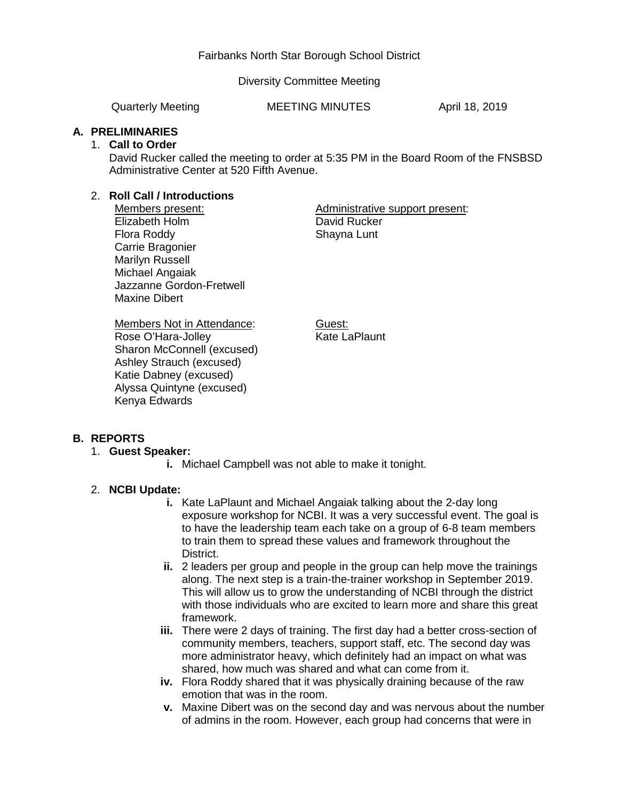### Fairbanks North Star Borough School District

Diversity Committee Meeting

Quarterly Meeting MEETING MINUTES April 18, 2019

#### **A. PRELIMINARIES**

#### 1. **Call to Order**

David Rucker called the meeting to order at 5:35 PM in the Board Room of the FNSBSD Administrative Center at 520 Fifth Avenue.

### 2. **Roll Call / Introductions**

Members present: Elizabeth Holm Flora Roddy Carrie Bragonier Marilyn Russell Michael Angaiak Jazzanne Gordon-Fretwell Maxine Dibert

Administrative support present: David Rucker Shayna Lunt

Members Not in Attendance: Rose O'Hara-Jolley Sharon McConnell (excused) Ashley Strauch (excused) Katie Dabney (excused) Alyssa Quintyne (excused) Kenya Edwards

Guest: Kate LaPlaunt

### **B. REPORTS**

### 1. **Guest Speaker:**

**i.** Michael Campbell was not able to make it tonight.

### 2. **NCBI Update:**

- **i.** Kate LaPlaunt and Michael Angaiak talking about the 2-day long exposure workshop for NCBI. It was a very successful event. The goal is to have the leadership team each take on a group of 6-8 team members to train them to spread these values and framework throughout the District.
- **ii.** 2 leaders per group and people in the group can help move the trainings along. The next step is a train-the-trainer workshop in September 2019. This will allow us to grow the understanding of NCBI through the district with those individuals who are excited to learn more and share this great framework.
- **iii.** There were 2 days of training. The first day had a better cross-section of community members, teachers, support staff, etc. The second day was more administrator heavy, which definitely had an impact on what was shared, how much was shared and what can come from it.
- **iv.** Flora Roddy shared that it was physically draining because of the raw emotion that was in the room.
- **v.** Maxine Dibert was on the second day and was nervous about the number of admins in the room. However, each group had concerns that were in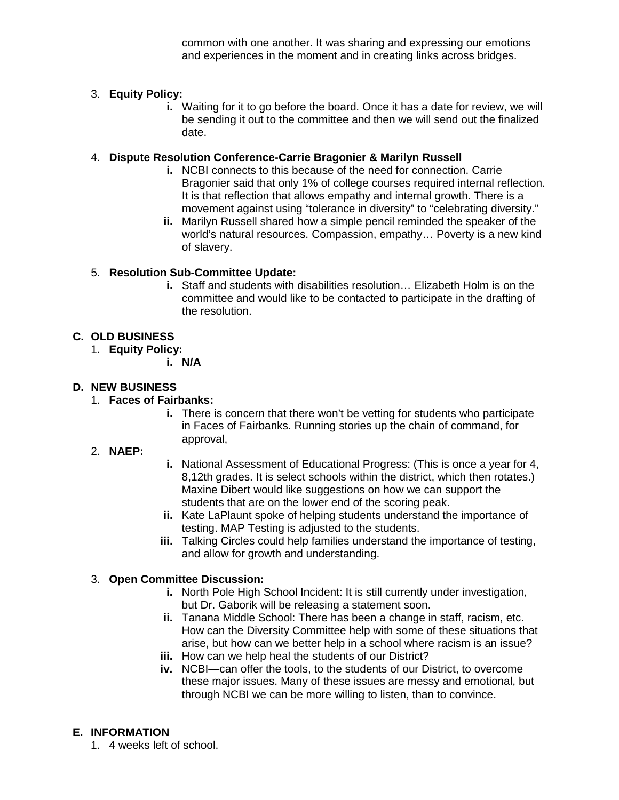common with one another. It was sharing and expressing our emotions and experiences in the moment and in creating links across bridges.

# 3. **Equity Policy:**

**i.** Waiting for it to go before the board. Once it has a date for review, we will be sending it out to the committee and then we will send out the finalized date.

### 4. **Dispute Resolution Conference-Carrie Bragonier & Marilyn Russell**

- **i.** NCBI connects to this because of the need for connection. Carrie Bragonier said that only 1% of college courses required internal reflection. It is that reflection that allows empathy and internal growth. There is a movement against using "tolerance in diversity" to "celebrating diversity."
- **ii.** Marilyn Russell shared how a simple pencil reminded the speaker of the world's natural resources. Compassion, empathy… Poverty is a new kind of slavery.

# 5. **Resolution Sub-Committee Update:**

**i.** Staff and students with disabilities resolution… Elizabeth Holm is on the committee and would like to be contacted to participate in the drafting of the resolution.

## **C. OLD BUSINESS**

- 1. **Equity Policy:**
	- **i. N/A**

## **D. NEW BUSINESS**

## 1. **Faces of Fairbanks:**

**i.** There is concern that there won't be vetting for students who participate in Faces of Fairbanks. Running stories up the chain of command, for approval,

### 2. **NAEP:**

- **i.** National Assessment of Educational Progress: (This is once a year for 4, 8,12th grades. It is select schools within the district, which then rotates.) Maxine Dibert would like suggestions on how we can support the students that are on the lower end of the scoring peak.
- **ii.** Kate LaPlaunt spoke of helping students understand the importance of testing. MAP Testing is adjusted to the students.
- **iii.** Talking Circles could help families understand the importance of testing, and allow for growth and understanding.

### 3. **Open Committee Discussion:**

- **i.** North Pole High School Incident: It is still currently under investigation, but Dr. Gaborik will be releasing a statement soon.
- **ii.** Tanana Middle School: There has been a change in staff, racism, etc. How can the Diversity Committee help with some of these situations that arise, but how can we better help in a school where racism is an issue?
- **iii.** How can we help heal the students of our District?
- **iv.** NCBI—can offer the tools, to the students of our District, to overcome these major issues. Many of these issues are messy and emotional, but through NCBI we can be more willing to listen, than to convince.

### **E. INFORMATION**

1. 4 weeks left of school.